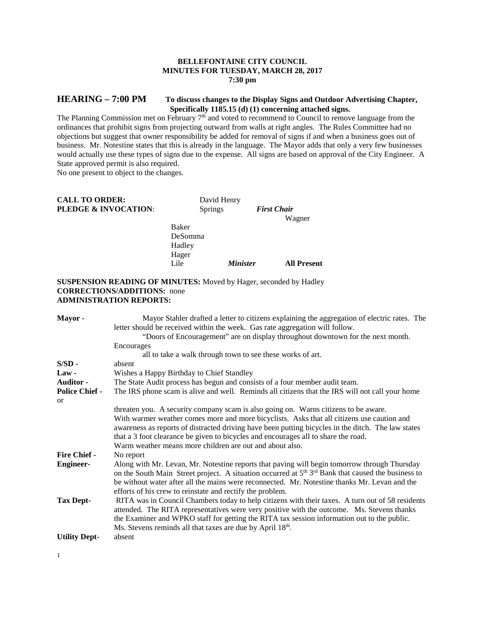## **BELLEFONTAINE CITY COUNCIL MINUTES FOR TUESDAY, MARCH 28, 2017 7:30 pm**

# **HEARING – 7:00 PM To discuss changes to the Display Signs and Outdoor Advertising Chapter, Specifically 1185.15 (d) (1) concerning attached signs.**

The Planning Commission met on February  $7<sup>th</sup>$  and voted to recommend to Council to remove language from the ordinances that prohibit signs from projecting outward from walls at right angles. The Rules Committee had no objections but suggest that owner responsibility be added for removal of signs if and when a business goes out of business. Mr. Notestine states that this is already in the language. The Mayor adds that only a very few businesses would actually use these types of signs due to the expense. All signs are based on approval of the City Engineer. A State approved permit is also required.

No one present to object to the changes.

| <b>CALL TO ORDER:</b>           |                                     | David Henry            |                              |
|---------------------------------|-------------------------------------|------------------------|------------------------------|
| <b>PLEDGE &amp; INVOCATION:</b> | <b>Springs</b>                      |                        | <b>First Chair</b><br>Wagner |
|                                 | Baker<br>DeSomma<br>Hadley<br>Hager |                        |                              |
|                                 | Lile                                | <i><b>Minister</b></i> | <b>All Present</b>           |
|                                 |                                     |                        |                              |

## **SUSPENSION READING OF MINUTES:** Moved by Hager, seconded by Hadley **CORRECTIONS/ADDITIONS:** none **ADMINISTRATION REPORTS:**

| Mayor-                | Mayor Stahler drafted a letter to citizens explaining the aggregation of electric rates. The<br>letter should be received within the week. Gas rate aggregation will follow. |  |  |
|-----------------------|------------------------------------------------------------------------------------------------------------------------------------------------------------------------------|--|--|
|                       | "Doors of Encouragement" are on display throughout downtown for the next month.                                                                                              |  |  |
|                       | Encourages                                                                                                                                                                   |  |  |
|                       | all to take a walk through town to see these works of art.                                                                                                                   |  |  |
| $S/SD -$              | absent                                                                                                                                                                       |  |  |
| $Law -$               | Wishes a Happy Birthday to Chief Standley                                                                                                                                    |  |  |
| <b>Auditor -</b>      | The State Audit process has begun and consists of a four member audit team.                                                                                                  |  |  |
| <b>Police Chief -</b> | The IRS phone scam is alive and well. Reminds all citizens that the IRS will not call your home                                                                              |  |  |
| <sub>or</sub>         |                                                                                                                                                                              |  |  |
|                       | threaten you. A security company scam is also going on. Warns citizens to be aware.                                                                                          |  |  |
|                       | With warmer weather comes more and more bicyclists. Asks that all citizens use caution and                                                                                   |  |  |
|                       | awareness as reports of distracted driving have been putting bicycles in the ditch. The law states                                                                           |  |  |
|                       | that a 3 foot clearance be given to bicycles and encourages all to share the road.                                                                                           |  |  |
|                       | Warm weather means more children are out and about also.                                                                                                                     |  |  |
| <b>Fire Chief -</b>   | No report                                                                                                                                                                    |  |  |
| <b>Engineer-</b>      | Along with Mr. Levan, Mr. Notestine reports that paving will begin tomorrow through Thursday                                                                                 |  |  |
|                       | on the South Main Street project. A situation occurred at $5th 3rd$ Bank that caused the business to                                                                         |  |  |
|                       | be without water after all the mains were reconnected. Mr. Notestine thanks Mr. Levan and the                                                                                |  |  |
|                       |                                                                                                                                                                              |  |  |
|                       | efforts of his crew to reinstate and rectify the problem.                                                                                                                    |  |  |
| <b>Tax Dept-</b>      | RITA was in Council Chambers today to help citizens with their taxes. A turn out of 58 residents                                                                             |  |  |
|                       | attended. The RITA representatives were very positive with the outcome. Ms. Stevens thanks                                                                                   |  |  |
|                       | the Examiner and WPKO staff for getting the RITA tax session information out to the public.                                                                                  |  |  |
|                       | Ms. Stevens reminds all that taxes are due by April 18th.                                                                                                                    |  |  |
| <b>Utility Dept-</b>  | absent                                                                                                                                                                       |  |  |

1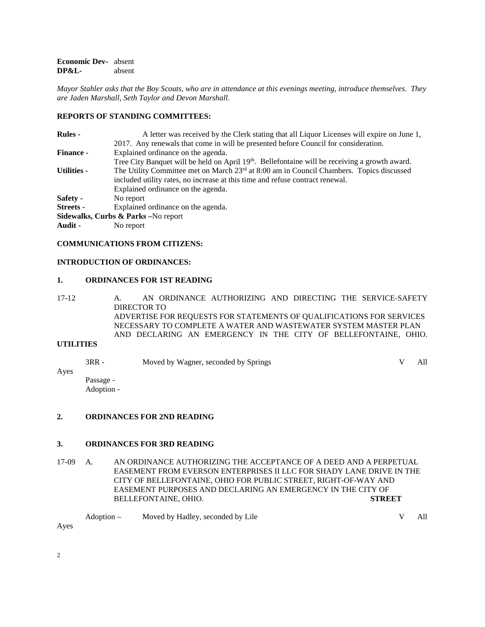**Economic Dev-** absent<br>DP&L- absent **DP&L-**

*Mayor Stahler asks that the Boy Scouts, who are in attendance at this evenings meeting, introduce themselves. They are Jaden Marshall, Seth Taylor and Devon Marshall.*

# **REPORTS OF STANDING COMMITTEES:**

| <b>Rules -</b>     | A letter was received by the Clerk stating that all Liquor Licenses will expire on June 1,                 |  |  |
|--------------------|------------------------------------------------------------------------------------------------------------|--|--|
|                    | 2017. Any renewals that come in will be presented before Council for consideration.                        |  |  |
| <b>Finance -</b>   | Explained ordinance on the agenda.                                                                         |  |  |
|                    | Tree City Banquet will be held on April 19 <sup>th</sup> . Bellefontaine will be receiving a growth award. |  |  |
| <b>Utilities -</b> | The Utility Committee met on March 23 <sup>rd</sup> at 8:00 am in Council Chambers. Topics discussed       |  |  |
|                    | included utility rates, no increase at this time and refuse contract renewal.                              |  |  |
|                    | Explained ordinance on the agenda.                                                                         |  |  |
| Safety -           | No report                                                                                                  |  |  |
| <b>Streets</b> -   | Explained ordinance on the agenda.                                                                         |  |  |
|                    | Sidewalks, Curbs & Parks -No report                                                                        |  |  |
| Audit -            | No report                                                                                                  |  |  |

## **COMMUNICATIONS FROM CITIZENS:**

## **INTRODUCTION OF ORDINANCES:**

#### **1. ORDINANCES FOR 1ST READING**

17-12 A. AN ORDINANCE AUTHORIZING AND DIRECTING THE SERVICE-SAFETY DIRECTOR TO ADVERTISE FOR REQUESTS FOR STATEMENTS OF QUALIFICATIONS FOR SERVICES NECESSARY TO COMPLETE A WATER AND WASTEWATER SYSTEM MASTER PLAN AND DECLARING AN EMERGENCY IN THE CITY OF BELLEFONTAINE, OHIO.

## **UTILITIES**

3RR - Moved by Wagner, seconded by Springs V All Ayes Passage -

Adoption -

### **2. ORDINANCES FOR 2ND READING**

### **3. ORDINANCES FOR 3RD READING**

17-09 A. AN ORDINANCE AUTHORIZING THE ACCEPTANCE OF A DEED AND A PERPETUAL EASEMENT FROM EVERSON ENTERPRISES II LLC FOR SHADY LANE DRIVE IN THE CITY OF BELLEFONTAINE, OHIO FOR PUBLIC STREET, RIGHT-OF-WAY AND EASEMENT PURPOSES AND DECLARING AN EMERGENCY IN THE CITY OF BELLEFONTAINE, OHIO. **STREET**

|  | Adoption – Moved by Hadley, seconded by Lile | V All |
|--|----------------------------------------------|-------|
|--|----------------------------------------------|-------|

Ayes

2